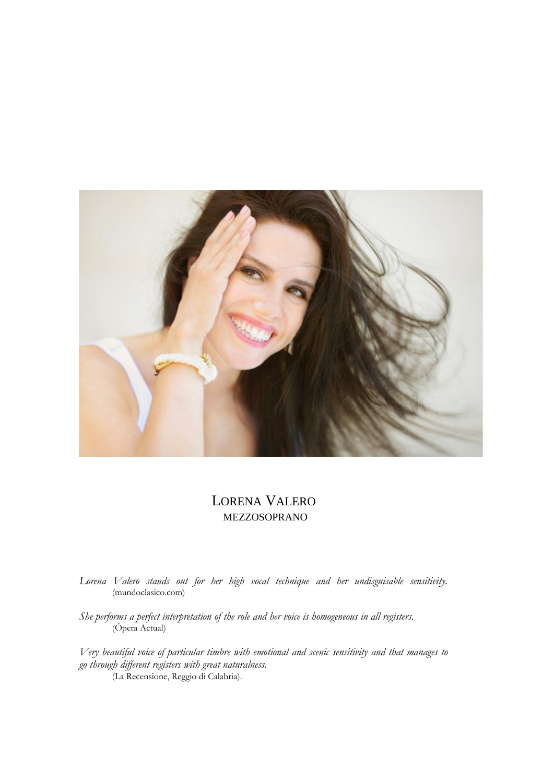

## LORENA VALERO MEZZOSOPRANO

*Lorena Valero stands out for her high vocal technique and her undisguisable sensitivity.* (mundoclasico.com)

*She performs a perfect interpretation of the role and her voice is homogeneous in all registers.* (Ópera Actual)

*Very beautiful voice of particular timbre with emotional and scenic sensitivity and that manages to go through different registers with great naturalness.* (La Recensione, Reggio di Calabria).